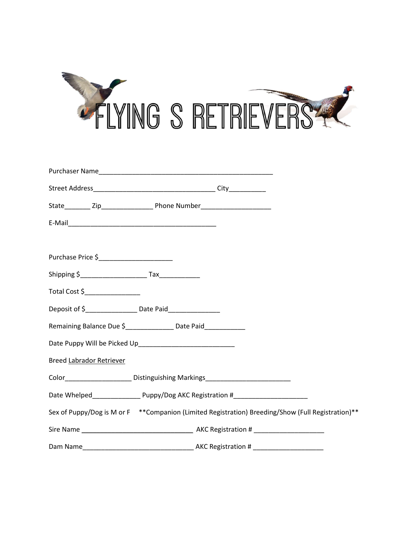

| Purchase Price \$_________________________                                       |                                                                                                               |
|----------------------------------------------------------------------------------|---------------------------------------------------------------------------------------------------------------|
|                                                                                  |                                                                                                               |
| Total Cost \$__________________                                                  |                                                                                                               |
| Deposit of \$______________________ Date Paid___________________                 |                                                                                                               |
| Remaining Balance Due \$<br><u> Landell Due balance Due \$</u> Date Paid         |                                                                                                               |
|                                                                                  |                                                                                                               |
| <b>Breed Labrador Retriever</b>                                                  |                                                                                                               |
| Color_____________________Distinguishing Markings_______________________________ |                                                                                                               |
|                                                                                  | Date Whelped________________________Puppy/Dog AKC Registration #_________________                             |
|                                                                                  | Sex of Puppy/Dog is M or F <sup>**</sup> Companion (Limited Registration) Breeding/Show (Full Registration)** |
|                                                                                  |                                                                                                               |
|                                                                                  |                                                                                                               |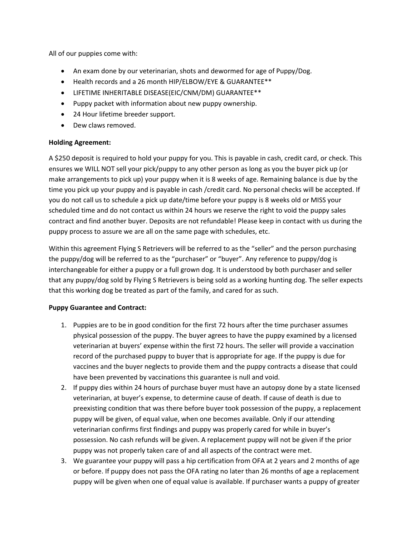All of our puppies come with:

- An exam done by our veterinarian, shots and dewormed for age of Puppy/Dog.
- Health records and a 26 month HIP/ELBOW/EYE & GUARANTEE\*\*
- LIFETIME INHERITABLE DISEASE(EIC/CNM/DM) GUARANTEE\*\*
- Puppy packet with information about new puppy ownership.
- 24 Hour lifetime breeder support.
- Dew claws removed.

## Holding Agreement:

A \$250 deposit is required to hold your puppy for you. This is payable in cash, credit card, or check. This ensures we WILL NOT sell your pick/puppy to any other person as long as you the buyer pick up (or make arrangements to pick up) your puppy when it is 8 weeks of age. Remaining balance is due by the time you pick up your puppy and is payable in cash /credit card. No personal checks will be accepted. If you do not call us to schedule a pick up date/time before your puppy is 8 weeks old or MISS your scheduled time and do not contact us within 24 hours we reserve the right to void the puppy sales contract and find another buyer. Deposits are not refundable! Please keep in contact with us during the puppy process to assure we are all on the same page with schedules, etc.

Within this agreement Flying S Retrievers will be referred to as the "seller" and the person purchasing the puppy/dog will be referred to as the "purchaser" or "buyer". Any reference to puppy/dog is interchangeable for either a puppy or a full grown dog. It is understood by both purchaser and seller that any puppy/dog sold by Flying S Retrievers is being sold as a working hunting dog. The seller expects that this working dog be treated as part of the family, and cared for as such.

## Puppy Guarantee and Contract:

- 1. Puppies are to be in good condition for the first 72 hours after the time purchaser assumes physical possession of the puppy. The buyer agrees to have the puppy examined by a licensed veterinarian at buyers' expense within the first 72 hours. The seller will provide a vaccination record of the purchased puppy to buyer that is appropriate for age. If the puppy is due for vaccines and the buyer neglects to provide them and the puppy contracts a disease that could have been prevented by vaccinations this guarantee is null and void.
- 2. If puppy dies within 24 hours of purchase buyer must have an autopsy done by a state licensed veterinarian, at buyer's expense, to determine cause of death. If cause of death is due to preexisting condition that was there before buyer took possession of the puppy, a replacement puppy will be given, of equal value, when one becomes available. Only if our attending veterinarian confirms first findings and puppy was properly cared for while in buyer's possession. No cash refunds will be given. A replacement puppy will not be given if the prior puppy was not properly taken care of and all aspects of the contract were met.
- 3. We guarantee your puppy will pass a hip certification from OFA at 2 years and 2 months of age or before. If puppy does not pass the OFA rating no later than 26 months of age a replacement puppy will be given when one of equal value is available. If purchaser wants a puppy of greater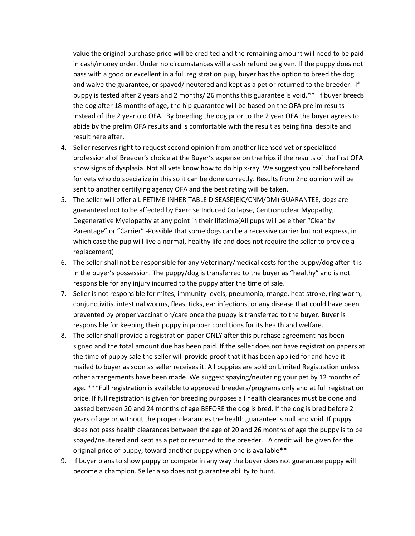value the original purchase price will be credited and the remaining amount will need to be paid in cash/money order. Under no circumstances will a cash refund be given. If the puppy does not pass with a good or excellent in a full registration pup, buyer has the option to breed the dog and waive the guarantee, or spayed/ neutered and kept as a pet or returned to the breeder. If puppy is tested after 2 years and 2 months/ 26 months this guarantee is void.\*\* If buyer breeds the dog after 18 months of age, the hip guarantee will be based on the OFA prelim results instead of the 2 year old OFA. By breeding the dog prior to the 2 year OFA the buyer agrees to abide by the prelim OFA results and is comfortable with the result as being final despite and result here after.

- 4. Seller reserves right to request second opinion from another licensed vet or specialized professional of Breeder's choice at the Buyer's expense on the hips if the results of the first OFA show signs of dysplasia. Not all vets know how to do hip x-ray. We suggest you call beforehand for vets who do specialize in this so it can be done correctly. Results from 2nd opinion will be sent to another certifying agency OFA and the best rating will be taken.
- 5. The seller will offer a LIFETIME INHERITABLE DISEASE(EIC/CNM/DM) GUARANTEE, dogs are guaranteed not to be affected by Exercise Induced Collapse, Centronuclear Myopathy, Degenerative Myelopathy at any point in their lifetime(All pups will be either "Clear by Parentage" or "Carrier" -Possible that some dogs can be a recessive carrier but not express, in which case the pup will live a normal, healthy life and does not require the seller to provide a replacement)
- 6. The seller shall not be responsible for any Veterinary/medical costs for the puppy/dog after it is in the buyer's possession. The puppy/dog is transferred to the buyer as "healthy" and is not responsible for any injury incurred to the puppy after the time of sale.
- 7. Seller is not responsible for mites, immunity levels, pneumonia, mange, heat stroke, ring worm, conjunctivitis, intestinal worms, fleas, ticks, ear infections, or any disease that could have been prevented by proper vaccination/care once the puppy is transferred to the buyer. Buyer is responsible for keeping their puppy in proper conditions for its health and welfare.
- 8. The seller shall provide a registration paper ONLY after this purchase agreement has been signed and the total amount due has been paid. If the seller does not have registration papers at the time of puppy sale the seller will provide proof that it has been applied for and have it mailed to buyer as soon as seller receives it. All puppies are sold on Limited Registration unless other arrangements have been made. We suggest spaying/neutering your pet by 12 months of age. \*\*\*Full registration is available to approved breeders/programs only and at full registration price. If full registration is given for breeding purposes all health clearances must be done and passed between 20 and 24 months of age BEFORE the dog is bred. If the dog is bred before 2 years of age or without the proper clearances the health guarantee is null and void. If puppy does not pass health clearances between the age of 20 and 26 months of age the puppy is to be spayed/neutered and kept as a pet or returned to the breeder. A credit will be given for the original price of puppy, toward another puppy when one is available\*\*
- 9. If buyer plans to show puppy or compete in any way the buyer does not guarantee puppy will become a champion. Seller also does not guarantee ability to hunt.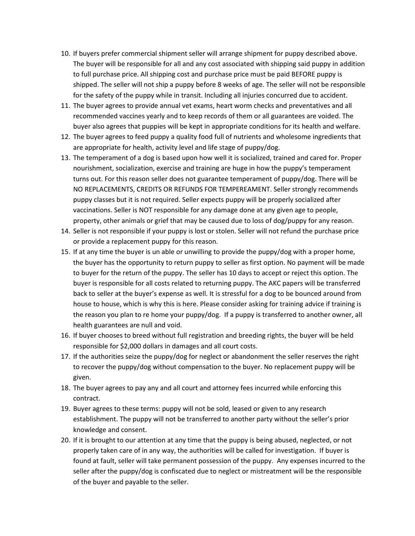- 10. If buyers prefer commercial shipment seller will arrange shipment for puppy described above. The buyer will be responsible for all and any cost associated with shipping said puppy in addition to full purchase price. All shipping cost and purchase price must be paid BEFORE puppy is shipped. The seller will not ship a puppy before 8 weeks of age. The seller will not be responsible for the safety of the puppy while in transit. Including all injuries concurred due to accident.
- 11. The buyer agrees to provide annual vet exams, heart worm checks and preventatives and all recommended vaccines yearly and to keep records of them or all guarantees are voided. The buyer also agrees that puppies will be kept in appropriate conditions for its health and welfare.
- 12. The buyer agrees to feed puppy a quality food full of nutrients and wholesome ingredients that are appropriate for health, activity level and life stage of puppy/dog.
- 13. The temperament of a dog is based upon how well it is socialized, trained and cared for. Proper nourishment, socialization, exercise and training are huge in how the puppy's temperament turns out. For this reason seller does not guarantee temperament of puppy/dog. There will be NO REPLACEMENTS, CREDITS OR REFUNDS FOR TEMPEREAMENT. Seller strongly recommends puppy classes but it is not required. Seller expects puppy will be properly socialized after vaccinations. Seller is NOT responsible for any damage done at any given age to people, property, other animals or grief that may be caused due to loss of dog/puppy for any reason.
- 14. Seller is not responsible if your puppy is lost or stolen. Seller will not refund the purchase price or provide a replacement puppy for this reason.
- 15. If at any time the buyer is un able or unwilling to provide the puppy/dog with a proper home, the buyer has the opportunity to return puppy to seller as first option. No payment will be made to buyer for the return of the puppy. The seller has 10 days to accept or reject this option. The buyer is responsible for all costs related to returning puppy. The AKC papers will be transferred back to seller at the buyer's expense as well. It is stressful for a dog to be bounced around from house to house, which is why this is here. Please consider asking for training advice if training is the reason you plan to re home your puppy/dog. If a puppy is transferred to another owner, all health guarantees are null and void.
- 16. If buyer chooses to breed without full registration and breeding rights, the buyer will be held responsible for \$2,000 dollars in damages and all court costs.
- 17. If the authorities seize the puppy/dog for neglect or abandonment the seller reserves the right to recover the puppy/dog without compensation to the buyer. No replacement puppy will be given.
- 18. The buyer agrees to pay any and all court and attorney fees incurred while enforcing this contract.
- 19. Buyer agrees to these terms: puppy will not be sold, leased or given to any research establishment. The puppy will not be transferred to another party without the seller's prior knowledge and consent.
- 20. If it is brought to our attention at any time that the puppy is being abused, neglected, or not properly taken care of in any way, the authorities will be called for investigation. If buyer is found at fault, seller will take permanent possession of the puppy. Any expenses incurred to the seller after the puppy/dog is confiscated due to neglect or mistreatment will be the responsible of the buyer and payable to the seller.